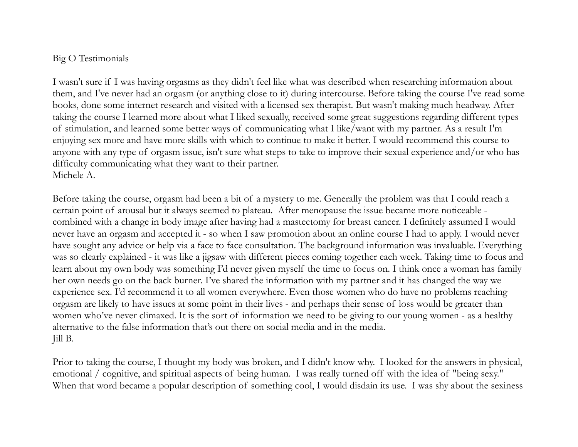## Big O Testimonials

I wasn't sure if I was having orgasms as they didn't feel like what was described when researching information about them, and I've never had an orgasm (or anything close to it) during intercourse. Before taking the course I've read some books, done some internet research and visited with a licensed sex therapist. But wasn't making much headway. After taking the course I learned more about what I liked sexually, received some great suggestions regarding different types of stimulation, and learned some better ways of communicating what I like/want with my partner. As a result I'm enjoying sex more and have more skills with which to continue to make it better. I would recommend this course to anyone with any type of orgasm issue, isn't sure what steps to take to improve their sexual experience and/or who has difficulty communicating what they want to their partner. Michele A.

Before taking the course, orgasm had been a bit of a mystery to me. Generally the problem was that I could reach a certain point of arousal but it always seemed to plateau. After menopause the issue became more noticeable combined with a change in body image after having had a mastectomy for breast cancer. I definitely assumed I would never have an orgasm and accepted it - so when I saw promotion about an online course I had to apply. I would never have sought any advice or help via a face to face consultation. The background information was invaluable. Everything was so clearly explained - it was like a jigsaw with different pieces coming together each week. Taking time to focus and learn about my own body was something I'd never given myself the time to focus on. I think once a woman has family her own needs go on the back burner. I've shared the information with my partner and it has changed the way we experience sex. I'd recommend it to all women everywhere. Even those women who do have no problems reaching orgasm are likely to have issues at some point in their lives - and perhaps their sense of loss would be greater than women who've never climaxed. It is the sort of information we need to be giving to our young women - as a healthy alternative to the false information that's out there on social media and in the media. Jill B.

Prior to taking the course, I thought my body was broken, and I didn't know why. I looked for the answers in physical, emotional / cognitive, and spiritual aspects of being human. I was really turned off with the idea of "being sexy." When that word became a popular description of something cool, I would disdain its use. I was shy about the sexiness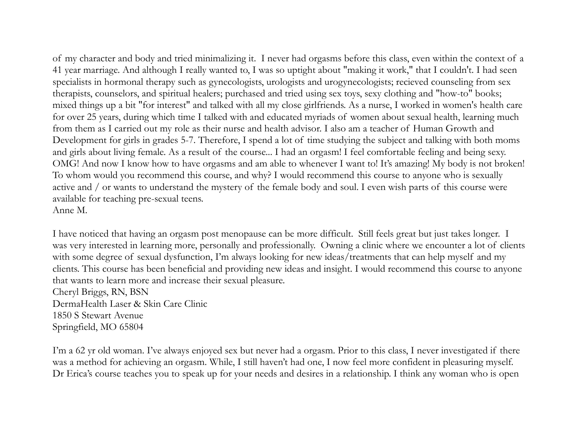of my character and body and tried minimalizing it. I never had orgasms before this class, even within the context of a 41 year marriage. And although I really wanted to, I was so uptight about "making it work," that I couldn't. I had seen specialists in hormonal therapy such as gynecologists, urologists and urogynecologists; recieved counseling from sex therapists, counselors, and spiritual healers; purchased and tried using sex toys, sexy clothing and "how-to" books; mixed things up a bit "for interest" and talked with all my close girlfriends. As a nurse, I worked in women's health care for over 25 years, during which time I talked with and educated myriads of women about sexual health, learning much from them as I carried out my role as their nurse and health advisor. I also am a teacher of Human Growth and Development for girls in grades 5-7. Therefore, I spend a lot of time studying the subject and talking with both moms and girls about living female. As a result of the course... I had an orgasm! I feel comfortable feeling and being sexy. OMG! And now I know how to have orgasms and am able to whenever I want to! It's amazing! My body is not broken! To whom would you recommend this course, and why? I would recommend this course to anyone who is sexually active and / or wants to understand the mystery of the female body and soul. I even wish parts of this course were available for teaching pre-sexual teens. Anne M.

I have noticed that having an orgasm post menopause can be more difficult. Still feels great but just takes longer. I was very interested in learning more, personally and professionally. Owning a clinic where we encounter a lot of clients with some degree of sexual dysfunction, I'm always looking for new ideas/treatments that can help myself and my clients. This course has been beneficial and providing new ideas and insight. I would recommend this course to anyone that wants to learn more and increase their sexual pleasure. Cheryl Briggs, RN, BSN DermaHealth Laser & Skin Care Clinic 1850 S Stewart Avenue Springfield, MO 65804

I'm a 62 yr old woman. I've always enjoyed sex but never had a orgasm. Prior to this class, I never investigated if there was a method for achieving an orgasm. While, I still haven't had one, I now feel more confident in pleasuring myself. Dr Erica's course teaches you to speak up for your needs and desires in a relationship. I think any woman who is open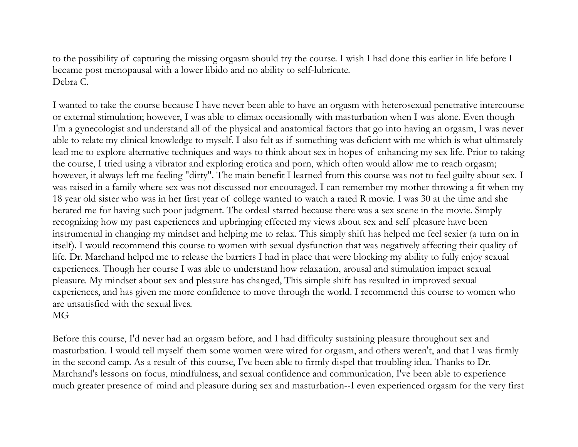to the possibility of capturing the missing orgasm should try the course. I wish I had done this earlier in life before I became post menopausal with a lower libido and no ability to self-lubricate. Debra C.

I wanted to take the course because I have never been able to have an orgasm with heterosexual penetrative intercourse or external stimulation; however, I was able to climax occasionally with masturbation when I was alone. Even though I'm a gynecologist and understand all of the physical and anatomical factors that go into having an orgasm, I was never able to relate my clinical knowledge to myself. I also felt as if something was deficient with me which is what ultimately lead me to explore alternative techniques and ways to think about sex in hopes of enhancing my sex life. Prior to taking the course, I tried using a vibrator and exploring erotica and porn, which often would allow me to reach orgasm; however, it always left me feeling "dirty". The main benefit I learned from this course was not to feel guilty about sex. I was raised in a family where sex was not discussed nor encouraged. I can remember my mother throwing a fit when my 18 year old sister who was in her first year of college wanted to watch a rated R movie. I was 30 at the time and she berated me for having such poor judgment. The ordeal started because there was a sex scene in the movie. Simply recognizing how my past experiences and upbringing effected my views about sex and self pleasure have been instrumental in changing my mindset and helping me to relax. This simply shift has helped me feel sexier (a turn on in itself). I would recommend this course to women with sexual dysfunction that was negatively affecting their quality of life. Dr. Marchand helped me to release the barriers I had in place that were blocking my ability to fully enjoy sexual experiences. Though her course I was able to understand how relaxation, arousal and stimulation impact sexual pleasure. My mindset about sex and pleasure has changed, This simple shift has resulted in improved sexual experiences, and has given me more confidence to move through the world. I recommend this course to women who are unsatisfied with the sexual lives.

## MG

Before this course, I'd never had an orgasm before, and I had difficulty sustaining pleasure throughout sex and masturbation. I would tell myself them some women were wired for orgasm, and others weren't, and that I was firmly in the second camp. As a result of this course, I've been able to firmly dispel that troubling idea. Thanks to Dr. Marchand's lessons on focus, mindfulness, and sexual confidence and communication, I've been able to experience much greater presence of mind and pleasure during sex and masturbation--I even experienced orgasm for the very first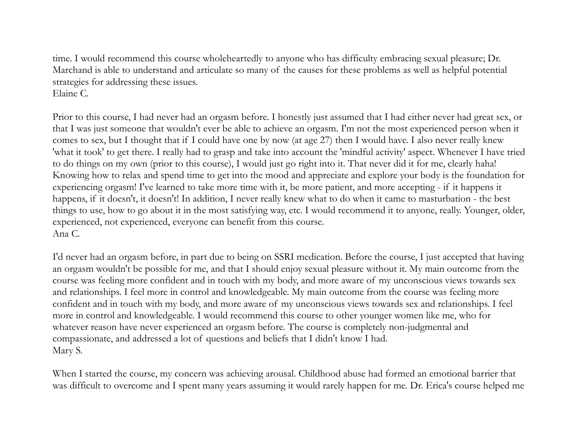time. I would recommend this course wholeheartedly to anyone who has difficulty embracing sexual pleasure; Dr. Marchand is able to understand and articulate so many of the causes for these problems as well as helpful potential strategies for addressing these issues. Elaine C.

Prior to this course, I had never had an orgasm before. I honestly just assumed that I had either never had great sex, or that I was just someone that wouldn't ever be able to achieve an orgasm. I'm not the most experienced person when it comes to sex, but I thought that if I could have one by now (at age 27) then I would have. I also never really knew 'what it took' to get there. I really had to grasp and take into account the 'mindful activity' aspect. Whenever I have tried to do things on my own (prior to this course), I would just go right into it. That never did it for me, clearly haha! Knowing how to relax and spend time to get into the mood and appreciate and explore your body is the foundation for experiencing orgasm! I've learned to take more time with it, be more patient, and more accepting - if it happens it happens, if it doesn't, it doesn't! In addition, I never really knew what to do when it came to masturbation - the best things to use, how to go about it in the most satisfying way, etc. I would recommend it to anyone, really. Younger, older, experienced, not experienced, everyone can benefit from this course. Ana C.

I'd never had an orgasm before, in part due to being on SSRI medication. Before the course, I just accepted that having an orgasm wouldn't be possible for me, and that I should enjoy sexual pleasure without it. My main outcome from the course was feeling more confident and in touch with my body, and more aware of my unconscious views towards sex and relationships. I feel more in control and knowledgeable. My main outcome from the course was feeling more confident and in touch with my body, and more aware of my unconscious views towards sex and relationships. I feel more in control and knowledgeable. I would recommend this course to other younger women like me, who for whatever reason have never experienced an orgasm before. The course is completely non-judgmental and compassionate, and addressed a lot of questions and beliefs that I didn't know I had. Mary S.

When I started the course, my concern was achieving arousal. Childhood abuse had formed an emotional barrier that was difficult to overcome and I spent many years assuming it would rarely happen for me. Dr. Erica's course helped me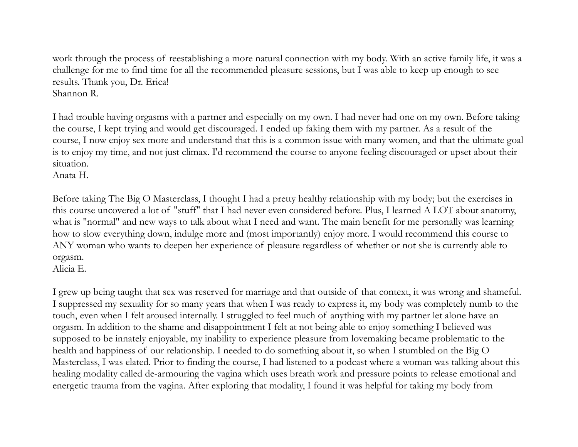work through the process of reestablishing a more natural connection with my body. With an active family life, it was a challenge for me to find time for all the recommended pleasure sessions, but I was able to keep up enough to see results. Thank you, Dr. Erica! Shannon R.

I had trouble having orgasms with a partner and especially on my own. I had never had one on my own. Before taking the course, I kept trying and would get discouraged. I ended up faking them with my partner. As a result of the course, I now enjoy sex more and understand that this is a common issue with many women, and that the ultimate goal is to enjoy my time, and not just climax. I'd recommend the course to anyone feeling discouraged or upset about their situation.

Anata H.

Before taking The Big O Masterclass, I thought I had a pretty healthy relationship with my body; but the exercises in this course uncovered a lot of "stuff" that I had never even considered before. Plus, I learned A LOT about anatomy, what is "normal" and new ways to talk about what I need and want. The main benefit for me personally was learning how to slow everything down, indulge more and (most importantly) enjoy more. I would recommend this course to ANY woman who wants to deepen her experience of pleasure regardless of whether or not she is currently able to orgasm.

Alicia E.

I grew up being taught that sex was reserved for marriage and that outside of that context, it was wrong and shameful. I suppressed my sexuality for so many years that when I was ready to express it, my body was completely numb to the touch, even when I felt aroused internally. I struggled to feel much of anything with my partner let alone have an orgasm. In addition to the shame and disappointment I felt at not being able to enjoy something I believed was supposed to be innately enjoyable, my inability to experience pleasure from lovemaking became problematic to the health and happiness of our relationship. I needed to do something about it, so when I stumbled on the Big O Masterclass, I was elated. Prior to finding the course, I had listened to a podcast where a woman was talking about this healing modality called de-armouring the vagina which uses breath work and pressure points to release emotional and energetic trauma from the vagina. After exploring that modality, I found it was helpful for taking my body from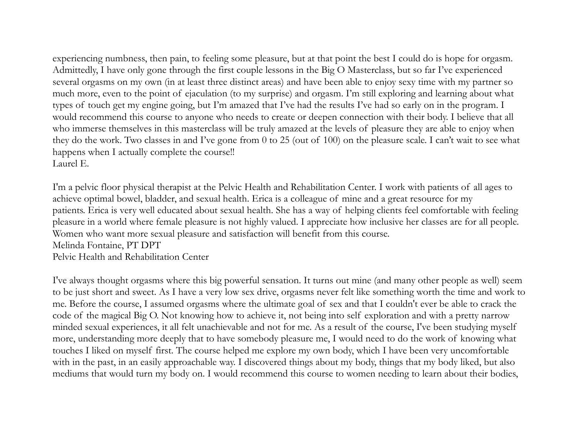experiencing numbness, then pain, to feeling some pleasure, but at that point the best I could do is hope for orgasm. Admittedly, I have only gone through the first couple lessons in the Big O Masterclass, but so far I've experienced several orgasms on my own (in at least three distinct areas) and have been able to enjoy sexy time with my partner so much more, even to the point of ejaculation (to my surprise) and orgasm. I'm still exploring and learning about what types of touch get my engine going, but I'm amazed that I've had the results I've had so early on in the program. I would recommend this course to anyone who needs to create or deepen connection with their body. I believe that all who immerse themselves in this masterclass will be truly amazed at the levels of pleasure they are able to enjoy when they do the work. Two classes in and I've gone from 0 to 25 (out of 100) on the pleasure scale. I can't wait to see what happens when I actually complete the course!! Laurel E.

I'm a pelvic floor physical therapist at the Pelvic Health and Rehabilitation Center. I work with patients of all ages to achieve optimal bowel, bladder, and sexual health. Erica is a colleague of mine and a great resource for my patients. Erica is very well educated about sexual health. She has a way of helping clients feel comfortable with feeling pleasure in a world where female pleasure is not highly valued. I appreciate how inclusive her classes are for all people. Women who want more sexual pleasure and satisfaction will benefit from this course. Melinda Fontaine, PT DPT Pelvic Health and Rehabilitation Center

I've always thought orgasms where this big powerful sensation. It turns out mine (and many other people as well) seem to be just short and sweet. As I have a very low sex drive, orgasms never felt like something worth the time and work to me. Before the course, I assumed orgasms where the ultimate goal of sex and that I couldn't ever be able to crack the code of the magical Big O. Not knowing how to achieve it, not being into self exploration and with a pretty narrow minded sexual experiences, it all felt unachievable and not for me. As a result of the course, I've been studying myself more, understanding more deeply that to have somebody pleasure me, I would need to do the work of knowing what touches I liked on myself first. The course helped me explore my own body, which I have been very uncomfortable with in the past, in an easily approachable way. I discovered things about my body, things that my body liked, but also mediums that would turn my body on. I would recommend this course to women needing to learn about their bodies,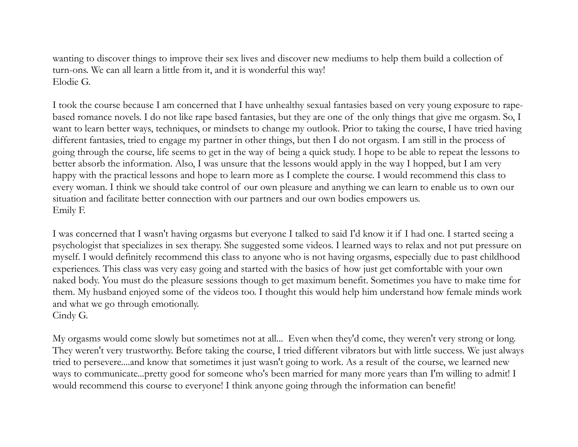wanting to discover things to improve their sex lives and discover new mediums to help them build a collection of turn-ons. We can all learn a little from it, and it is wonderful this way! Elodie G.

I took the course because I am concerned that I have unhealthy sexual fantasies based on very young exposure to rapebased romance novels. I do not like rape based fantasies, but they are one of the only things that give me orgasm. So, I want to learn better ways, techniques, or mindsets to change my outlook. Prior to taking the course, I have tried having different fantasies, tried to engage my partner in other things, but then I do not orgasm. I am still in the process of going through the course, life seems to get in the way of being a quick study. I hope to be able to repeat the lessons to better absorb the information. Also, I was unsure that the lessons would apply in the way I hopped, but I am very happy with the practical lessons and hope to learn more as I complete the course. I would recommend this class to every woman. I think we should take control of our own pleasure and anything we can learn to enable us to own our situation and facilitate better connection with our partners and our own bodies empowers us. Emily F.

I was concerned that I wasn't having orgasms but everyone I talked to said I'd know it if I had one. I started seeing a psychologist that specializes in sex therapy. She suggested some videos. I learned ways to relax and not put pressure on myself. I would definitely recommend this class to anyone who is not having orgasms, especially due to past childhood experiences. This class was very easy going and started with the basics of how just get comfortable with your own naked body. You must do the pleasure sessions though to get maximum benefit. Sometimes you have to make time for them. My husband enjoyed some of the videos too. I thought this would help him understand how female minds work and what we go through emotionally. Cindy G.

My orgasms would come slowly but sometimes not at all... Even when they'd come, they weren't very strong or long. They weren't very trustworthy. Before taking the course, I tried different vibrators but with little success. We just always tried to persevere....and know that sometimes it just wasn't going to work. As a result of the course, we learned new ways to communicate...pretty good for someone who's been married for many more years than I'm willing to admit! I would recommend this course to everyone! I think anyone going through the information can benefit!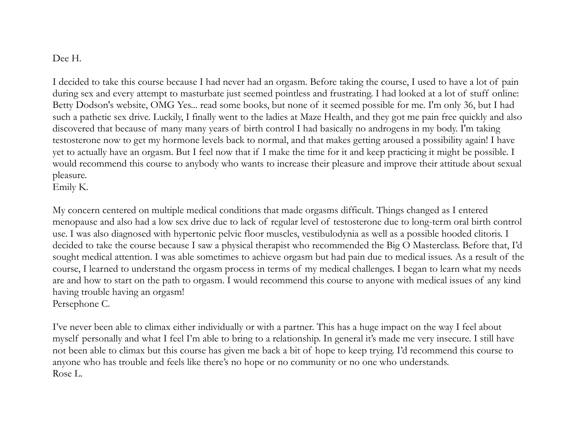## Dee H.

I decided to take this course because I had never had an orgasm. Before taking the course, I used to have a lot of pain during sex and every attempt to masturbate just seemed pointless and frustrating. I had looked at a lot of stuff online: Betty Dodson's website, OMG Yes... read some books, but none of it seemed possible for me. I'm only 36, but I had such a pathetic sex drive. Luckily, I finally went to the ladies at Maze Health, and they got me pain free quickly and also discovered that because of many many years of birth control I had basically no androgens in my body. I'm taking testosterone now to get my hormone levels back to normal, and that makes getting aroused a possibility again! I have yet to actually have an orgasm. But I feel now that if I make the time for it and keep practicing it might be possible. I would recommend this course to anybody who wants to increase their pleasure and improve their attitude about sexual pleasure.

Emily K.

My concern centered on multiple medical conditions that made orgasms difficult. Things changed as I entered menopause and also had a low sex drive due to lack of regular level of testosterone due to long-term oral birth control use. I was also diagnosed with hypertonic pelvic floor muscles, vestibulodynia as well as a possible hooded clitoris. I decided to take the course because I saw a physical therapist who recommended the Big O Masterclass. Before that, I'd sought medical attention. I was able sometimes to achieve orgasm but had pain due to medical issues. As a result of the course, I learned to understand the orgasm process in terms of my medical challenges. I began to learn what my needs are and how to start on the path to orgasm. I would recommend this course to anyone with medical issues of any kind having trouble having an orgasm! Persephone C.

I've never been able to climax either individually or with a partner. This has a huge impact on the way I feel about myself personally and what I feel I'm able to bring to a relationship. In general it's made me very insecure. I still have not been able to climax but this course has given me back a bit of hope to keep trying. I'd recommend this course to anyone who has trouble and feels like there's no hope or no community or no one who understands. Rose L.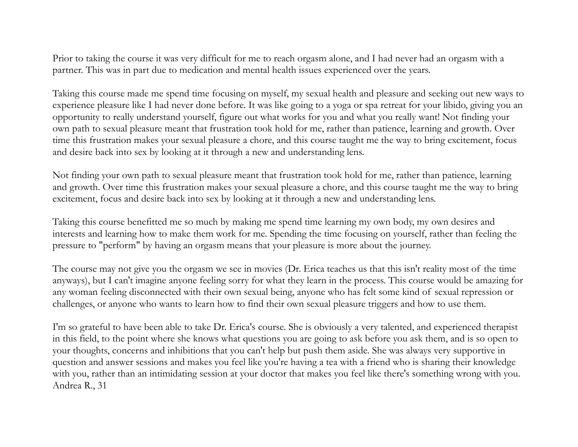Prior to taking the course it was very difficult for me to reach orgasm alone, and I had never had an orgasm with a partner. This was in part due to medication and mental health issues experienced over the years.

Taking this course made me spend time focusing on myself, my sexual health and pleasure and seeking out new ways to experience pleasure like I had never done before. It was like going to a yoga or spa retreat for your libido, giving you an opportunity to really understand yourself, figure out what works for you and what you really want! Not finding your own path to sexual pleasure meant that frustration took hold for me, rather than patience, learning and growth. Over time this frustration makes your sexual pleasure a chore, and this course taught me the way to bring excitement, focus and desire back into sex by looking at it through a new and understanding lens.

Not finding your own path to sexual pleasure meant that frustration took hold for me, rather than patience, learning and growth. Over time this frustration makes your sexual pleasure a chore, and this course taught me the way to bring excitement, focus and desire back into sex by looking at it through a new and understanding lens.

Taking this course benefitted me so much by making me spend time learning my own body, my own desires and interests and learning how to make them work for me. Spending the time focusing on yourself, rather than feeling the pressure to "perform" by having an orgasm means that your pleasure is more about the journey.

The course may not give you the orgasm we see in movies (Dr. Erica teaches us that this isn't reality most of the time anyways), but I can't imagine anyone feeling sorry for what they learn in the process. This course would be amazing for any woman feeling disconnected with their own sexual being, anyone who has felt some kind of sexual repression or challenges, or anyone who wants to learn how to find their own sexual pleasure triggers and how to use them.

I'm so grateful to have been able to take Dr. Erica's course. She is obviously a very talented, and experienced therapist in this field, to the point where she knows what questions you are going to ask before you ask them, and is so open to your thoughts, concerns and inhibitions that you can't help but push them aside. She was always very supportive in question and answer sessions and makes you feel like you're having a tea with a friend who is sharing their knowledge with you, rather than an intimidating session at your doctor that makes you feel like there's something wrong with you. Andrea R., 31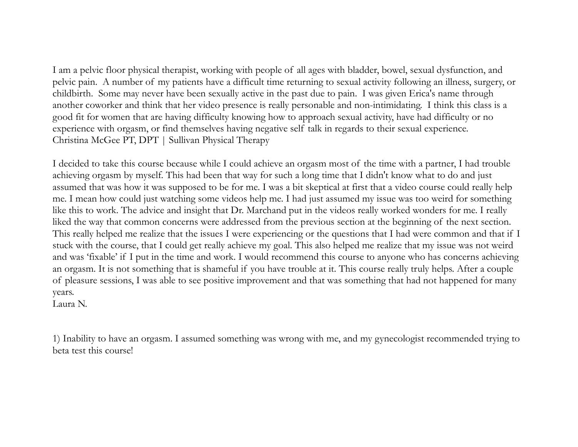I am a pelvic floor physical therapist, working with people of all ages with bladder, bowel, sexual dysfunction, and pelvic pain. A number of my patients have a difficult time returning to sexual activity following an illness, surgery, or childbirth. Some may never have been sexually active in the past due to pain. I was given Erica's name through another coworker and think that her video presence is really personable and non-intimidating. I think this class is a good fit for women that are having difficulty knowing how to approach sexual activity, have had difficulty or no experience with orgasm, or find themselves having negative self talk in regards to their sexual experience. Christina McGee PT, DPT | Sullivan Physical Therapy

I decided to take this course because while I could achieve an orgasm most of the time with a partner, I had trouble achieving orgasm by myself. This had been that way for such a long time that I didn't know what to do and just assumed that was how it was supposed to be for me. I was a bit skeptical at first that a video course could really help me. I mean how could just watching some videos help me. I had just assumed my issue was too weird for something like this to work. The advice and insight that Dr. Marchand put in the videos really worked wonders for me. I really liked the way that common concerns were addressed from the previous section at the beginning of the next section. This really helped me realize that the issues I were experiencing or the questions that I had were common and that if I stuck with the course, that I could get really achieve my goal. This also helped me realize that my issue was not weird and was 'fixable' if I put in the time and work. I would recommend this course to anyone who has concerns achieving an orgasm. It is not something that is shameful if you have trouble at it. This course really truly helps. After a couple of pleasure sessions, I was able to see positive improvement and that was something that had not happened for many years.

Laura N.

1) Inability to have an orgasm. I assumed something was wrong with me, and my gynecologist recommended trying to beta test this course!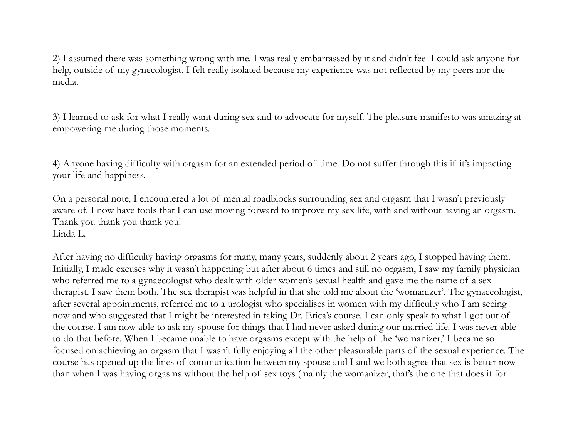2) I assumed there was something wrong with me. I was really embarrassed by it and didn't feel I could ask anyone for help, outside of my gynecologist. I felt really isolated because my experience was not reflected by my peers nor the media.

3) I learned to ask for what I really want during sex and to advocate for myself. The pleasure manifesto was amazing at empowering me during those moments.

4) Anyone having difficulty with orgasm for an extended period of time. Do not suffer through this if it's impacting your life and happiness.

On a personal note, I encountered a lot of mental roadblocks surrounding sex and orgasm that I wasn't previously aware of. I now have tools that I can use moving forward to improve my sex life, with and without having an orgasm. Thank you thank you thank you! Linda L.

After having no difficulty having orgasms for many, many years, suddenly about 2 years ago, I stopped having them. Initially, I made excuses why it wasn't happening but after about 6 times and still no orgasm, I saw my family physician who referred me to a gynaecologist who dealt with older women's sexual health and gave me the name of a sex therapist. I saw them both. The sex therapist was helpful in that she told me about the 'womanizer'. The gynaecologist, after several appointments, referred me to a urologist who specialises in women with my difficulty who I am seeing now and who suggested that I might be interested in taking Dr. Erica's course. I can only speak to what I got out of the course. I am now able to ask my spouse for things that I had never asked during our married life. I was never able to do that before. When I became unable to have orgasms except with the help of the 'womanizer,' I became so focused on achieving an orgasm that I wasn't fully enjoying all the other pleasurable parts of the sexual experience. The course has opened up the lines of communication between my spouse and I and we both agree that sex is better now than when I was having orgasms without the help of sex toys (mainly the womanizer, that's the one that does it for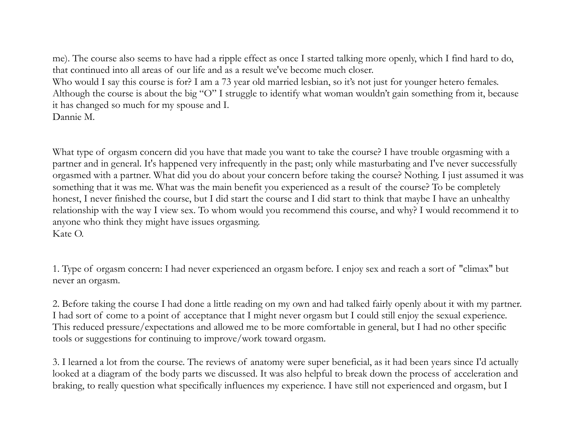me). The course also seems to have had a ripple effect as once I started talking more openly, which I find hard to do, that continued into all areas of our life and as a result we've become much closer.

Who would I say this course is for? I am a 73 year old married lesbian, so it's not just for younger hetero females. Although the course is about the big "O" I struggle to identify what woman wouldn't gain something from it, because it has changed so much for my spouse and I. Dannie M.

What type of orgasm concern did you have that made you want to take the course? I have trouble orgasming with a partner and in general. It's happened very infrequently in the past; only while masturbating and I've never successfully orgasmed with a partner. What did you do about your concern before taking the course? Nothing. I just assumed it was something that it was me. What was the main benefit you experienced as a result of the course? To be completely honest, I never finished the course, but I did start the course and I did start to think that maybe I have an unhealthy relationship with the way I view sex. To whom would you recommend this course, and why? I would recommend it to anyone who think they might have issues orgasming. Kate O.

1. Type of orgasm concern: I had never experienced an orgasm before. I enjoy sex and reach a sort of "climax" but never an orgasm.

2. Before taking the course I had done a little reading on my own and had talked fairly openly about it with my partner. I had sort of come to a point of acceptance that I might never orgasm but I could still enjoy the sexual experience. This reduced pressure/expectations and allowed me to be more comfortable in general, but I had no other specific tools or suggestions for continuing to improve/work toward orgasm.

3. I learned a lot from the course. The reviews of anatomy were super beneficial, as it had been years since I'd actually looked at a diagram of the body parts we discussed. It was also helpful to break down the process of acceleration and braking, to really question what specifically influences my experience. I have still not experienced and orgasm, but I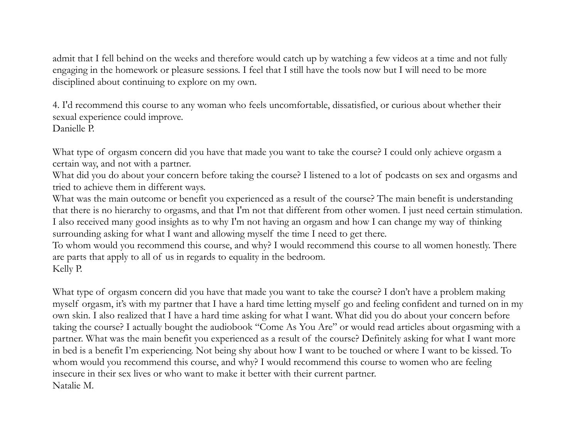admit that I fell behind on the weeks and therefore would catch up by watching a few videos at a time and not fully engaging in the homework or pleasure sessions. I feel that I still have the tools now but I will need to be more disciplined about continuing to explore on my own.

4. I'd recommend this course to any woman who feels uncomfortable, dissatisfied, or curious about whether their sexual experience could improve. Danielle P.

What type of orgasm concern did you have that made you want to take the course? I could only achieve orgasm a certain way, and not with a partner.

What did you do about your concern before taking the course? I listened to a lot of podcasts on sex and orgasms and tried to achieve them in different ways.

What was the main outcome or benefit you experienced as a result of the course? The main benefit is understanding that there is no hierarchy to orgasms, and that I'm not that different from other women. I just need certain stimulation. I also received many good insights as to why I'm not having an orgasm and how I can change my way of thinking surrounding asking for what I want and allowing myself the time I need to get there.

To whom would you recommend this course, and why? I would recommend this course to all women honestly. There are parts that apply to all of us in regards to equality in the bedroom. Kelly P.

What type of orgasm concern did you have that made you want to take the course? I don't have a problem making myself orgasm, it's with my partner that I have a hard time letting myself go and feeling confident and turned on in my own skin. I also realized that I have a hard time asking for what I want. What did you do about your concern before taking the course? I actually bought the audiobook "Come As You Are" or would read articles about orgasming with a partner. What was the main benefit you experienced as a result of the course? Definitely asking for what I want more in bed is a benefit I'm experiencing. Not being shy about how I want to be touched or where I want to be kissed. To whom would you recommend this course, and why? I would recommend this course to women who are feeling insecure in their sex lives or who want to make it better with their current partner. Natalie M.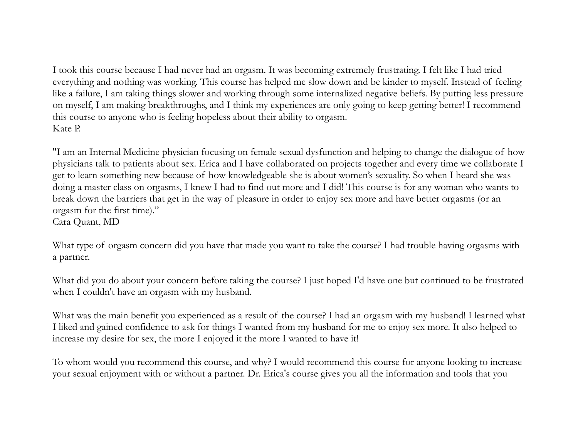I took this course because I had never had an orgasm. It was becoming extremely frustrating. I felt like I had tried everything and nothing was working. This course has helped me slow down and be kinder to myself. Instead of feeling like a failure, I am taking things slower and working through some internalized negative beliefs. By putting less pressure on myself, I am making breakthroughs, and I think my experiences are only going to keep getting better! I recommend this course to anyone who is feeling hopeless about their ability to orgasm. Kate P.

"I am an Internal Medicine physician focusing on female sexual dysfunction and helping to change the dialogue of how physicians talk to patients about sex. Erica and I have collaborated on projects together and every time we collaborate I get to learn something new because of how knowledgeable she is about women's sexuality. So when I heard she was doing a master class on orgasms, I knew I had to find out more and I did! This course is for any woman who wants to break down the barriers that get in the way of pleasure in order to enjoy sex more and have better orgasms (or an orgasm for the first time)." Cara Quant, MD

What type of orgasm concern did you have that made you want to take the course? I had trouble having orgasms with a partner.

What did you do about your concern before taking the course? I just hoped I'd have one but continued to be frustrated when I couldn't have an orgasm with my husband.

What was the main benefit you experienced as a result of the course? I had an orgasm with my husband! I learned what I liked and gained confidence to ask for things I wanted from my husband for me to enjoy sex more. It also helped to increase my desire for sex, the more I enjoyed it the more I wanted to have it!

To whom would you recommend this course, and why? I would recommend this course for anyone looking to increase your sexual enjoyment with or without a partner. Dr. Erica's course gives you all the information and tools that you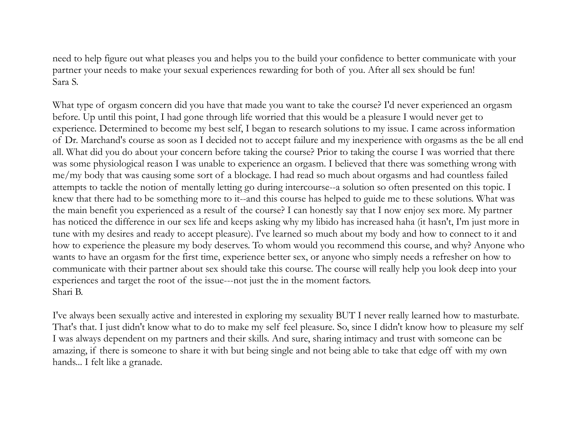need to help figure out what pleases you and helps you to the build your confidence to better communicate with your partner your needs to make your sexual experiences rewarding for both of you. After all sex should be fun! Sara S.

What type of orgasm concern did you have that made you want to take the course? I'd never experienced an orgasm before. Up until this point, I had gone through life worried that this would be a pleasure I would never get to experience. Determined to become my best self, I began to research solutions to my issue. I came across information of Dr. Marchand's course as soon as I decided not to accept failure and my inexperience with orgasms as the be all end all. What did you do about your concern before taking the course? Prior to taking the course I was worried that there was some physiological reason I was unable to experience an orgasm. I believed that there was something wrong with me/my body that was causing some sort of a blockage. I had read so much about orgasms and had countless failed attempts to tackle the notion of mentally letting go during intercourse--a solution so often presented on this topic. I knew that there had to be something more to it--and this course has helped to guide me to these solutions. What was the main benefit you experienced as a result of the course? I can honestly say that I now enjoy sex more. My partner has noticed the difference in our sex life and keeps asking why my libido has increased haha (it hasn't, I'm just more in tune with my desires and ready to accept pleasure). I've learned so much about my body and how to connect to it and how to experience the pleasure my body deserves. To whom would you recommend this course, and why? Anyone who wants to have an orgasm for the first time, experience better sex, or anyone who simply needs a refresher on how to communicate with their partner about sex should take this course. The course will really help you look deep into your experiences and target the root of the issue---not just the in the moment factors. Shari B.

I've always been sexually active and interested in exploring my sexuality BUT I never really learned how to masturbate. That's that. I just didn't know what to do to make my self feel pleasure. So, since I didn't know how to pleasure my self I was always dependent on my partners and their skills. And sure, sharing intimacy and trust with someone can be amazing, if there is someone to share it with but being single and not being able to take that edge off with my own hands... I felt like a granade.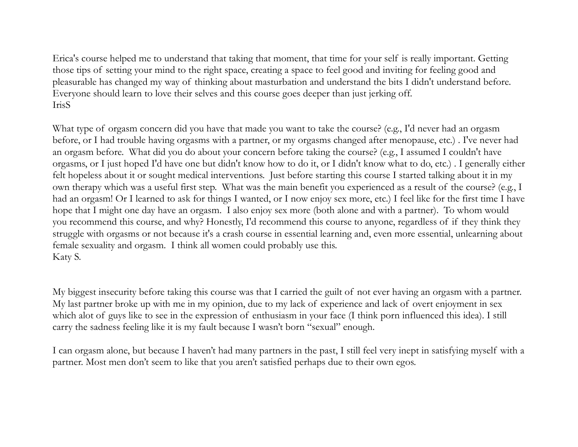Erica's course helped me to understand that taking that moment, that time for your self is really important. Getting those tips of setting your mind to the right space, creating a space to feel good and inviting for feeling good and pleasurable has changed my way of thinking about masturbation and understand the bits I didn't understand before. Everyone should learn to love their selves and this course goes deeper than just jerking off. IrisS

What type of orgasm concern did you have that made you want to take the course? (e.g., I'd never had an orgasm before, or I had trouble having orgasms with a partner, or my orgasms changed after menopause, etc.) . I've never had an orgasm before. What did you do about your concern before taking the course? (e.g., I assumed I couldn't have orgasms, or I just hoped I'd have one but didn't know how to do it, or I didn't know what to do, etc.) . I generally either felt hopeless about it or sought medical interventions. Just before starting this course I started talking about it in my own therapy which was a useful first step. What was the main benefit you experienced as a result of the course? (e.g., I had an orgasm! Or I learned to ask for things I wanted, or I now enjoy sex more, etc.) I feel like for the first time I have hope that I might one day have an orgasm. I also enjoy sex more (both alone and with a partner). To whom would you recommend this course, and why? Honestly, I'd recommend this course to anyone, regardless of if they think they struggle with orgasms or not because it's a crash course in essential learning and, even more essential, unlearning about female sexuality and orgasm. I think all women could probably use this. Katy S.

My biggest insecurity before taking this course was that I carried the guilt of not ever having an orgasm with a partner. My last partner broke up with me in my opinion, due to my lack of experience and lack of overt enjoyment in sex which alot of guys like to see in the expression of enthusiasm in your face (I think porn influenced this idea). I still carry the sadness feeling like it is my fault because I wasn't born "sexual" enough.

I can orgasm alone, but because I haven't had many partners in the past, I still feel very inept in satisfying myself with a partner. Most men don't seem to like that you aren't satisfied perhaps due to their own egos.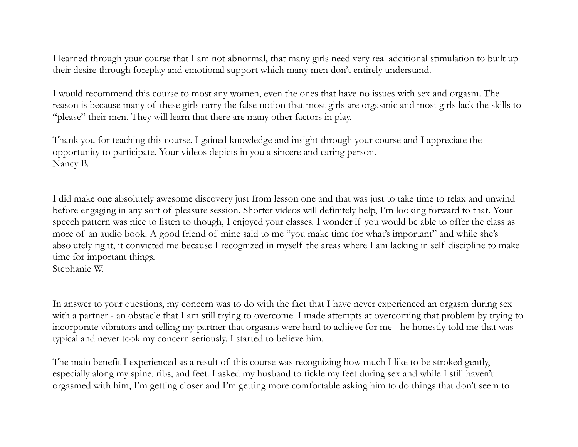I learned through your course that I am not abnormal, that many girls need very real additional stimulation to built up their desire through foreplay and emotional support which many men don't entirely understand.

I would recommend this course to most any women, even the ones that have no issues with sex and orgasm. The reason is because many of these girls carry the false notion that most girls are orgasmic and most girls lack the skills to "please" their men. They will learn that there are many other factors in play.

Thank you for teaching this course. I gained knowledge and insight through your course and I appreciate the opportunity to participate. Your videos depicts in you a sincere and caring person. Nancy B.

I did make one absolutely awesome discovery just from lesson one and that was just to take time to relax and unwind before engaging in any sort of pleasure session. Shorter videos will definitely help, I'm looking forward to that. Your speech pattern was nice to listen to though, I enjoyed your classes. I wonder if you would be able to offer the class as more of an audio book. A good friend of mine said to me "you make time for what's important" and while she's absolutely right, it convicted me because I recognized in myself the areas where I am lacking in self discipline to make time for important things. Stephanie W.

In answer to your questions, my concern was to do with the fact that I have never experienced an orgasm during sex with a partner - an obstacle that I am still trying to overcome. I made attempts at overcoming that problem by trying to incorporate vibrators and telling my partner that orgasms were hard to achieve for me - he honestly told me that was typical and never took my concern seriously. I started to believe him.

The main benefit I experienced as a result of this course was recognizing how much I like to be stroked gently, especially along my spine, ribs, and feet. I asked my husband to tickle my feet during sex and while I still haven't orgasmed with him, I'm getting closer and I'm getting more comfortable asking him to do things that don't seem to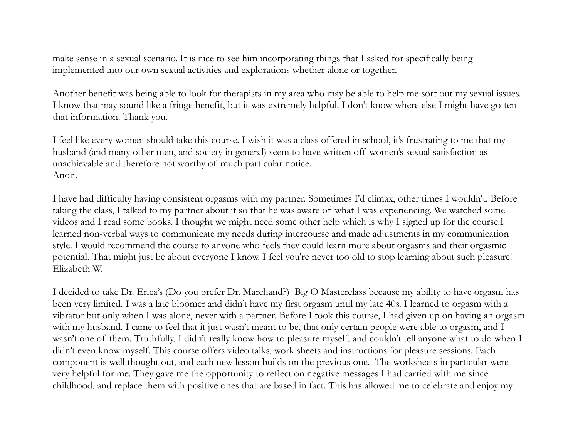make sense in a sexual scenario. It is nice to see him incorporating things that I asked for specifically being implemented into our own sexual activities and explorations whether alone or together.

Another benefit was being able to look for therapists in my area who may be able to help me sort out my sexual issues. I know that may sound like a fringe benefit, but it was extremely helpful. I don't know where else I might have gotten that information. Thank you.

I feel like every woman should take this course. I wish it was a class offered in school, it's frustrating to me that my husband (and many other men, and society in general) seem to have written off women's sexual satisfaction as unachievable and therefore not worthy of much particular notice. Anon.

I have had difficulty having consistent orgasms with my partner. Sometimes I'd climax, other times I wouldn't. Before taking the class, I talked to my partner about it so that he was aware of what I was experiencing. We watched some videos and I read some books. I thought we might need some other help which is why I signed up for the course.I learned non-verbal ways to communicate my needs during intercourse and made adjustments in my communication style. I would recommend the course to anyone who feels they could learn more about orgasms and their orgasmic potential. That might just be about everyone I know. I feel you're never too old to stop learning about such pleasure! Elizabeth W.

I decided to take Dr. Erica's (Do you prefer Dr. Marchand?) Big O Masterclass because my ability to have orgasm has been very limited. I was a late bloomer and didn't have my first orgasm until my late 40s. I learned to orgasm with a vibrator but only when I was alone, never with a partner. Before I took this course, I had given up on having an orgasm with my husband. I came to feel that it just wasn't meant to be, that only certain people were able to orgasm, and I wasn't one of them. Truthfully, I didn't really know how to pleasure myself, and couldn't tell anyone what to do when I didn't even know myself. This course offers video talks, work sheets and instructions for pleasure sessions. Each component is well thought out, and each new lesson builds on the previous one. The worksheets in particular were very helpful for me. They gave me the opportunity to reflect on negative messages I had carried with me since childhood, and replace them with positive ones that are based in fact. This has allowed me to celebrate and enjoy my